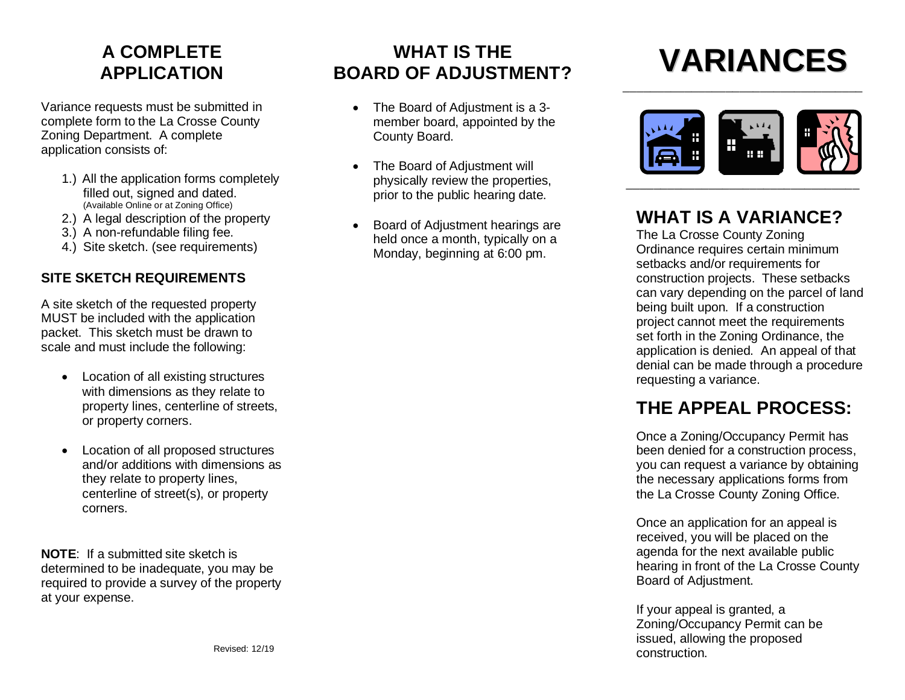# **A COMPLETE APPLICATION**

Variance requests must be submitted in complete form to the La Crosse County Zoning Department. A complete application consists of:

- 1.) All the application forms completely filled out, signed and dated. (Available Online or at Zoning Office)
- 2.) A legal description of the property
- 3.) A non-refundable filing fee.
- 4.) Site sketch. (see requirements)

#### **SITE SKETCH REQUIREMENTS**

A site sketch of the requested property MUST be included with the application packet. This sketch must be drawn to scale and must include the following:

- Location of all existing structures with dimensions as they relate to property lines, centerline of streets, or property corners.
- Location of all proposed structures and/or additions with dimensions as they relate to property lines, centerline of street(s), or property corners.

**NOTE**: If a submitted site sketch is determined to be inadequate, you may be required to provide a survey of the property at your expense.

# **WHAT IS THE BOARD OF ADJUSTMENT?**

- The Board of Adjustment is a 3 member board, appointed by the County Board.
- The Board of Adjustment will physically review the properties, prior to the public hearing date.
- Board of Adjustment hearings are held once a month, typically on a Monday, beginning at 6:00 pm.

# **VARIANCES**



\_\_\_\_\_\_\_\_\_\_\_\_\_\_\_\_\_\_\_\_\_\_\_\_\_\_\_\_\_\_\_\_\_\_\_

### **WHAT IS A VARIANCE?**

The La Crosse County Zoning Ordinance requires certain minimum setbacks and/or requirements for construction projects. These setbacks can vary depending on the parcel of land being built upon. If a construction project cannot meet the requirements set forth in the Zoning Ordinance, the application is denied. An appeal of that denial can be made through a procedure requesting a variance.

# **THE APPEAL PROCESS:**

Once a Zoning/Occupancy Permit has been denied for a construction process, you can request a variance by obtaining the necessary applications forms from the La Crosse County Zoning Office.

Once an application for an appeal is received, you will be placed on the agenda for the next available public hearing in front of the La Crosse County Board of Adjustment.

If your appeal is granted, a Zoning/Occupancy Permit can be issued, allowing the proposed construction.